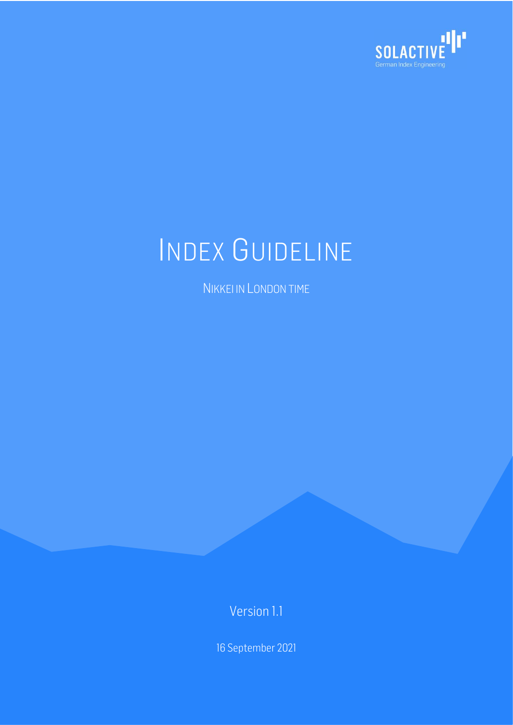

# INDEX GUIDELINE

NIKKEI IN LONDON TIME

Version 1.1

16 September 2021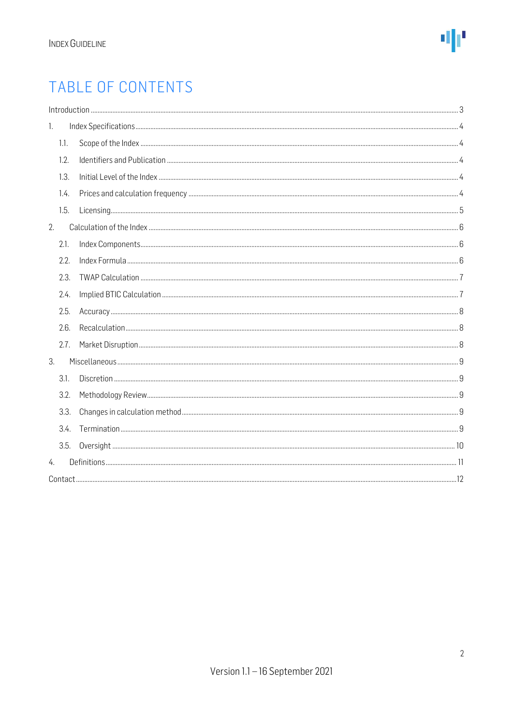### TABLE OF CONTENTS

| 1. |      |  |  |  |  |  |  |  |
|----|------|--|--|--|--|--|--|--|
|    | 1.1. |  |  |  |  |  |  |  |
|    | 1.2. |  |  |  |  |  |  |  |
|    | 1.3. |  |  |  |  |  |  |  |
|    | 1.4. |  |  |  |  |  |  |  |
|    | 1.5. |  |  |  |  |  |  |  |
| 2. |      |  |  |  |  |  |  |  |
|    | 2.1. |  |  |  |  |  |  |  |
|    | 2.2. |  |  |  |  |  |  |  |
|    | 2.3. |  |  |  |  |  |  |  |
|    | 2.4. |  |  |  |  |  |  |  |
|    | 2.5. |  |  |  |  |  |  |  |
|    | 2.6. |  |  |  |  |  |  |  |
|    | 2.7. |  |  |  |  |  |  |  |
| 3. |      |  |  |  |  |  |  |  |
|    | 3.1. |  |  |  |  |  |  |  |
|    | 3.2. |  |  |  |  |  |  |  |
|    | 3.3. |  |  |  |  |  |  |  |
|    | 3.4. |  |  |  |  |  |  |  |
|    | 3.5. |  |  |  |  |  |  |  |
| 4. |      |  |  |  |  |  |  |  |
|    |      |  |  |  |  |  |  |  |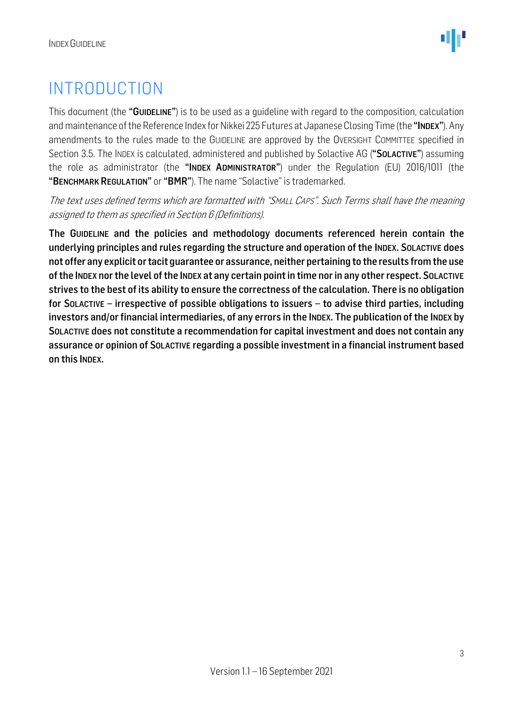### <span id="page-2-0"></span>INTRODUCTION

This document (the "GUIDELINE") is to be used as a guideline with regard to the composition, calculation and maintenance of the Reference Index for Nikkei 225 Futures at Japanese Closing Time (the "INDEX"). Any amendments to the rules made to the GUIDELINE are approved by the OVERSIGHT COMMITTEE specified in Section 3.5. The INDEX is calculated, administered and published by Solactive AG ("SOLACTIVE") assuming the role as administrator (the "INDEX ADMINISTRATOR") under the Regulation (EU) 2016/1011 (the "BENCHMARK REGULATION" or "BMR"). The name "Solactive" is trademarked.

The text uses defined terms which are formatted with "SMALL CAPS". Such Terms shall have the meaning assigned to them as specified in Section 6 (Definitions).

The GUIDELINE and the policies and methodology documents referenced herein contain the underlying principles and rules regarding the structure and operation of the INDEX. SOLACTIVE does not offer any explicit or tacit guarantee or assurance, neither pertaining to the results from the use ofthe INDEX nor the level of the INDEX at any certain point in time nor in any other respect. SOLACTIVE strives to the best of its ability to ensure the correctness of the calculation. There is no obligation for SOLACTIVE – irrespective of possible obligations to issuers – to advise third parties, including investors and/or financial intermediaries, of any errors in the INDEX. The publication of the INDEX by SOLACTIVE does not constitute a recommendation for capital investment and does not contain any assurance or opinion of SOLACTIVE regarding a possible investment in a financial instrument based on this INDEX.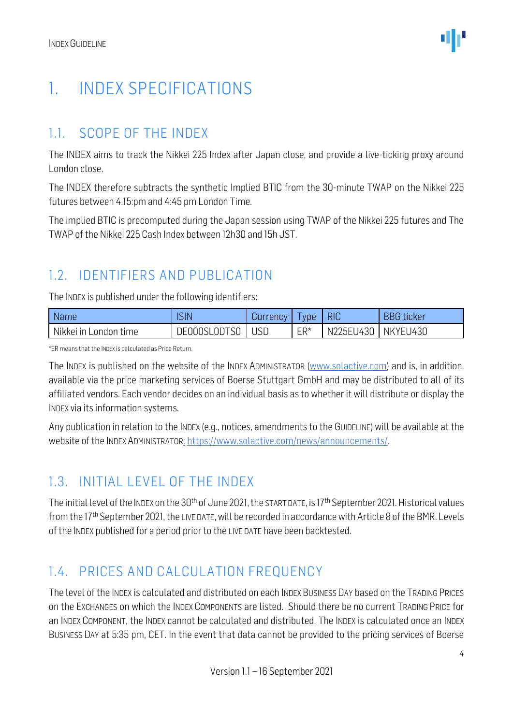### <span id="page-3-0"></span>1. INDEX SPECIFICATIONS

#### <span id="page-3-1"></span>1.1. SCOPE OF THE INDEX

The INDEX aims to track the Nikkei 225 Index after Japan close, and provide a live-ticking proxy around London close.

The INDEX therefore subtracts the synthetic Implied BTIC from the 30-minute TWAP on the Nikkei 225 futures between 4.15:pm and 4:45 pm London Time.

The implied BTIC is precomputed during the Japan session using TWAP of the Nikkei 225 futures and The TWAP of the Nikkei 225 Cash Index between 12h30 and 15h JST.

#### <span id="page-3-2"></span>1.2. IDENTIFIERS AND PUBLICATION

The INDEX is published under the following identifiers:

| <b>Name</b>           | <b>SIN</b>   | Currency | l vpe  | <b>RIC</b>           | <b>BBG</b> ticker |
|-----------------------|--------------|----------|--------|----------------------|-------------------|
| Nikkei in London time | DE000SL0DTS0 | USC      | $ER^*$ | N225EU430   NKYEU430 |                   |

\*ER means that the INDEX is calculated as Price Return.

The INDEX is published on the website of the INDEX ADMINISTRATOR [\(www.solactive.com\)](http://www.solactive.com/) and is, in addition, available via the price marketing services of Boerse Stuttgart GmbH and may be distributed to all of its affiliated vendors. Each vendor decides on an individual basis as to whether it will distribute or display the INDEX via its information systems.

Any publication in relation to the INDEX (e.g., notices, amendments to the GUIDELINE) will be available at the website of the INDEX ADMINISTRATOR: [https://www.solactive.com/news/announcements/.](https://www.solactive.com/news/announcements/)

#### <span id="page-3-3"></span>1.3. INITIAL LEVEL OF THE INDEX

The initial level of the INDEX on the 30<sup>th</sup> of June 2021, the START DATE, is 17<sup>th</sup> September 2021. Historical values from the 17<sup>th</sup> September 2021, the LIVE DATE, will be recorded in accordance with Article 8 of the BMR. Levels of the INDEX published for a period prior to the LIVE DATE have been backtested.

#### <span id="page-3-4"></span>1.4. PRICES AND CALCULATION FREQUENCY

The level of the INDEX is calculated and distributed on each INDEX BUSINESS DAY based on the TRADING PRICES on the EXCHANGES on which the INDEX COMPONENTS are listed. Should there be no current TRADING PRICE for an INDEX COMPONENT, the INDEX cannot be calculated and distributed. The INDEX is calculated once an INDEX BUSINESS DAY at 5:35 pm, CET. In the event that data cannot be provided to the pricing services of Boerse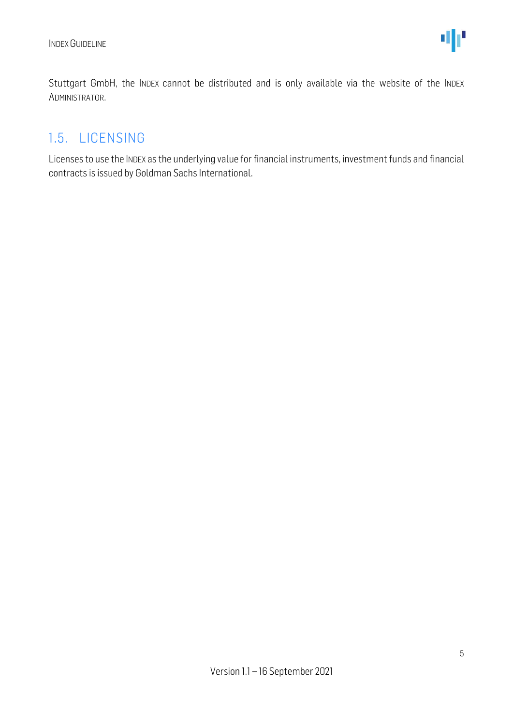Stuttgart GmbH, the INDEX cannot be distributed and is only available via the website of the INDEX ADMINISTRATOR.

#### <span id="page-4-0"></span>1.5. LICENSING

Licenses to use the INDEX as the underlying value for financial instruments, investment funds and financial contracts is issued by Goldman Sachs International.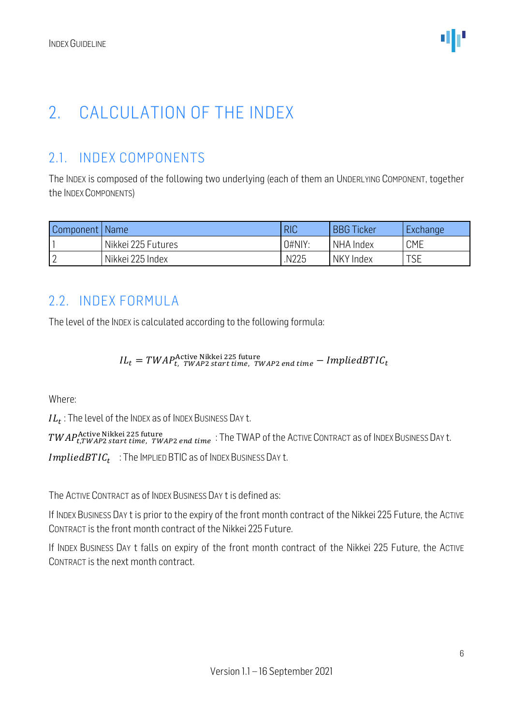### <span id="page-5-0"></span>2. CALCULATION OF THE INDEX

#### <span id="page-5-1"></span>2.1. INDEX COMPONENTS

The INDEX is composed of the following two underlying (each of them an UNDERLYING COMPONENT, together the INDEX COMPONENTS)

| Component   Name |                    | <b>RIC</b>       | <b>BBG Ticker</b> | <b>Exchange</b> |
|------------------|--------------------|------------------|-------------------|-----------------|
|                  | Nikkei 225 Futures | 0#N <sub>1</sub> | NHA Index         | <b>CME</b>      |
|                  | Nikkei 225 Index   | N225.            | NKY Index         | <b>TSE</b>      |

#### <span id="page-5-2"></span>2.2. INDEX FORMULA

The level of the INDEX is calculated according to the following formula:

 $IL_t = TWAP_{t, TWAP2\,start\,time, \, \, \text{TW}AP2\,end\,time} - \text{ImpliedBTIC}_{t}$ 

Where:

 $IL_t$  : The level of the Index as of Index Business Day t.

 $\mathit{TWAP}$ Active Nikkei 225 future  $\cdot$   $\mathit{TWAP2}$   $\mathit{end\;time}$  : The TWAP of the ACTIVE <code>CONTRACT</code> as of INDEX <code>BUSINESS</code> Day t.

 $\emph{ImpliedBTIC}_{t-}$  : The IMPLIED BTIC as of INDEX BUSINESS DAY t.

The ACTIVE CONTRACT as of INDEX BUSINESS DAY t is defined as:

If INDEX BUSINESS DAY t is prior to the expiry of the front month contract of the Nikkei 225 Future, the ACTIVE CONTRACT is the front month contract of the Nikkei 225 Future.

If INDEX BUSINESS DAY t falls on expiry of the front month contract of the Nikkei 225 Future, the ACTIVE CONTRACT is the next month contract.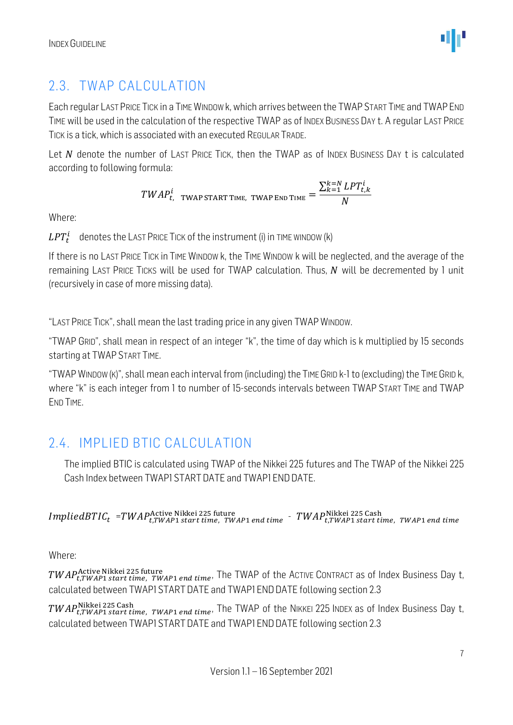

#### <span id="page-6-0"></span>2.3. TWAP CALCULATION

Each regular LASTPRICE TICK in a TIME WINDOW k, which arrives between the TWAPSTART TIME and TWAPEND TIME will be used in the calculation of the respective TWAP as of INDEX BUSINESS DAY t. A regular LAST PRICE TICK is a tick, which is associated with an executed REGULAR TRADE.

Let  $N$  denote the number of LAST PRICE TICK, then the TWAP as of INDEX BUSINESS DAY t is calculated according to following formula:

$$
TWAP_{t, \text{ TWAP START TIME, TWAP END TIME}}^{i} = \frac{\sum_{k=1}^{k=N} LPT_{t,k}^{i}}{N}
$$

Where:

 $\mathit{LPT}^{\mathit{i}}_{t}$  denotes the <code>Last</code> Price Tick of the instrument (i) in TIME WINDOW (k)

If there is no LAST PRICE TICK in TIME WINDOW k, the TIME WINDOW k will be neglected, and the average of the remaining LAST PRICE TICKS will be used for TWAP calculation. Thus,  $N$  will be decremented by 1 unit (recursively in case of more missing data).

"LAST PRICE TICK", shall mean the last trading price in any given TWAPWINDOW.

"TWAP GRID", shall mean in respect of an integer "k", the time of day which is k multiplied by 15 seconds starting at TWAP START TIME.

"TWAPWINDOW (K)", shall mean each interval from (including) the TIME GRID k-1 to (excluding) the TIME GRID k, where "k" is each integer from 1 to number of 15-seconds intervals between TWAP START TIME and TWAP END TIME.

#### <span id="page-6-1"></span>2.4. IMPLIED BTIC CALCULATION

The implied BTIC is calculated using TWAP of the Nikkei 225 futures and The TWAP of the Nikkei 225 Cash Index between TWAP1 START DATE and TWAP1 FND DATE.

 $\emph{ImpliedBTIC}_{t}$  =TWAP $_{t,TWAP1\,stat}^{1}$  start time, TWAP1 end time  $\emph{-}$  TWAP $_{t,TWAP1\,stat\,time}^{Nikkei}$  225 Cash  $_{t,TWAP1\,ent\,time}$ 

Where:

 $\mathit{TWAP}^{\mathit{Active Nikkei\,225\,future}}_{t,\mathit{TWAP1\,end\,trm}$  and time, The TWAP of the ACTIVE CONTRACT as of Index Business Day t, calculated between TWAP1 START DATE and TWAP1 END DATE following section 2.3

 $\mathit{TWAP^{\text{Nikkei 225\,Cash}}_{t,TWAP1\,start\,time,\;TWAP1\,end}$  the TWAP of the NIKKEI 225 INDEX as of Index Business Day t, calculated between TWAP1 STARTDATE and TWAP1 ENDDATE following section 2.3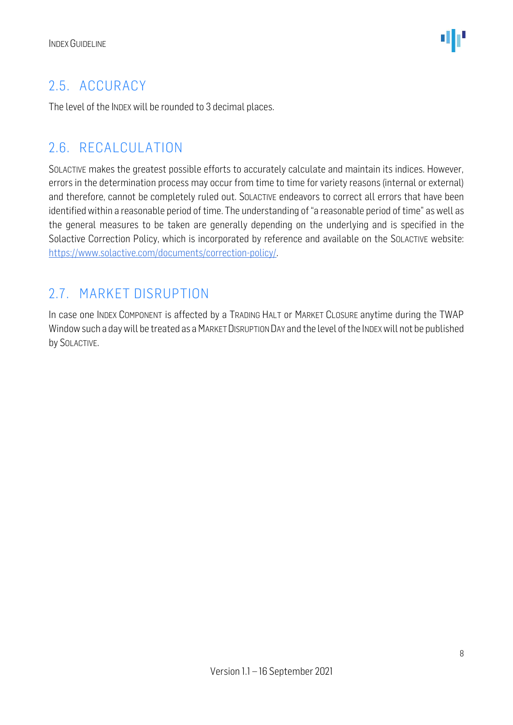#### <span id="page-7-0"></span>2.5. ACCURACY

The level of the INDEX will be rounded to 3 decimal places.

#### <span id="page-7-1"></span>2.6. RECALCULATION

SOLACTIVE makes the greatest possible efforts to accurately calculate and maintain its indices. However, errors in the determination process may occur from time to time for variety reasons (internal or external) and therefore, cannot be completely ruled out. SOLACTIVE endeavors to correct all errors that have been identified within a reasonable period of time. The understanding of "a reasonable period of time" as well as the general measures to be taken are generally depending on the underlying and is specified in the Solactive Correction Policy, which is incorporated by reference and available on the SOLACTIVE website: [https://www.solactive.com/documents/correction-policy/.](https://www.solactive.com/documents/correction-policy/)

#### <span id="page-7-2"></span>2.7. MARKET DISRUPTION

In case one INDEX COMPONENT is affected by a TRADING HALT or MARKET CLOSURE anytime during the TWAP Window such a day will be treated as a MARKET DISRUPTION DAY and the level of the INDEX will not be published by SOLACTIVE.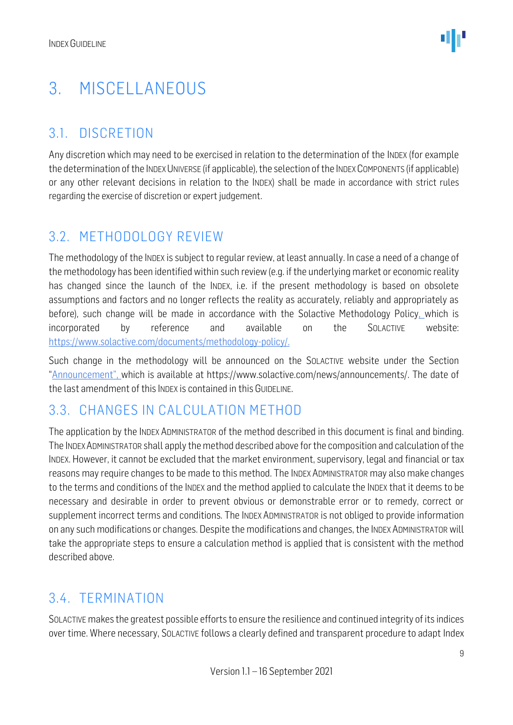### <span id="page-8-0"></span>3. MISCELLANEOUS

#### <span id="page-8-1"></span>3.1. DISCRETION

Any discretion which may need to be exercised in relation to the determination of the INDEX (for example the determination of the INDEX UNIVERSE (if applicable), the selection of the INDEX COMPONENTS (if applicable) or any other relevant decisions in relation to the INDEX) shall be made in accordance with strict rules regarding the exercise of discretion or expert judgement.

#### <span id="page-8-2"></span>3.2. METHODOLOGY REVIEW

The methodology of the INDEX is subject to regular review, at least annually. In case a need of a change of the methodology has been identified within such review (e.g. if the underlying market or economic reality has changed since the launch of the INDEX, i.e. if the present methodology is based on obsolete assumptions and factors and no longer reflects the reality as accurately, reliably and appropriately as before), such change will be made in accordance with the Solactive Methodology Policy, which is incorporated by reference and available on the SOLACTIVE website: [https://www.solactive.com/documents/methodology-policy/.](https://www.solactive.com/documents/methodology-policy/)

Such change in the methodology will be announced on the SOLACTIVE website under the Section "Announcement", which is available at https://www.solactive.com/news/announcements/. The date of the last amendment of this INDEX is contained in this GUIDELINE.

#### <span id="page-8-3"></span>3.3. CHANGES IN CALCUI ATION METHOD

The application by the INDEX ADMINISTRATOR of the method described in this document is final and binding. The INDEXADMINISTRATOR shall apply the method described above for the composition and calculation of the INDEX. However, it cannot be excluded that the market environment, supervisory, legal and financial or tax reasons may require changes to be made to this method. The INDEX ADMINISTRATOR may also make changes to the terms and conditions of the INDEX and the method applied to calculate the INDEX that it deems to be necessary and desirable in order to prevent obvious or demonstrable error or to remedy, correct or supplement incorrect terms and conditions. The INDEX ADMINISTRATOR is not obliged to provide information on any such modifications or changes. Despite the modifications and changes, the INDEX ADMINISTRATOR will take the appropriate steps to ensure a calculation method is applied that is consistent with the method described above.

#### <span id="page-8-4"></span>3.4. TERMINATION

SOLACTIVE makes the greatest possible efforts to ensure the resilience and continued integrity of its indices over time. Where necessary, SOLACTIVE follows a clearly defined and transparent procedure to adapt Index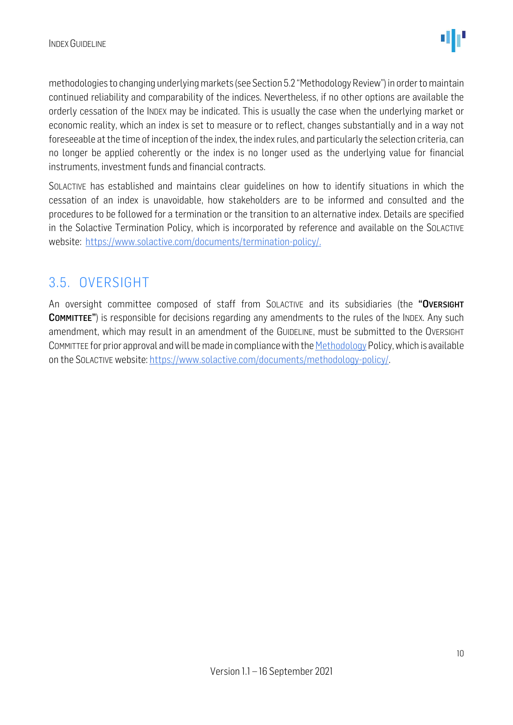methodologies to changing underlying markets (see Section 5.2 "Methodology Review") in order to maintain continued reliability and comparability of the indices. Nevertheless, if no other options are available the orderly cessation of the INDEX may be indicated. This is usually the case when the underlying market or economic reality, which an index is set to measure or to reflect, changes substantially and in a way not foreseeable at the time of inception of the index, the index rules, and particularly the selection criteria, can no longer be applied coherently or the index is no longer used as the underlying value for financial instruments, investment funds and financial contracts.

SOLACTIVE has established and maintains clear guidelines on how to identify situations in which the cessation of an index is unavoidable, how stakeholders are to be informed and consulted and the procedures to be followed for a termination or the transition to an alternative index. Details are specified in the Solactive Termination Policy, which is incorporated by reference and available on the SOLACTIVE website: [https://www.solactive.com/documents/termination-policy/.](https://www.solactive.com/documents/termination-policy/)

#### <span id="page-9-0"></span>3.5. OVERSIGHT

An oversight committee composed of staff from SOLACTIVE and its subsidiaries (the "OVERSIGHT COMMITTEE") is responsible for decisions regarding any amendments to the rules of the INDEX. Any such amendment, which may result in an amendment of the GUIDELINE, must be submitted to the OVERSIGHT COMMITTEE for prior approval and will be made in compliance with th[e Methodology](http://methodology/) Policy, which is available on the SOLACTIVE website: [https://www.solactive.com/documents/methodology-policy/.](https://www.solactive.com/documents/methodology-policy/)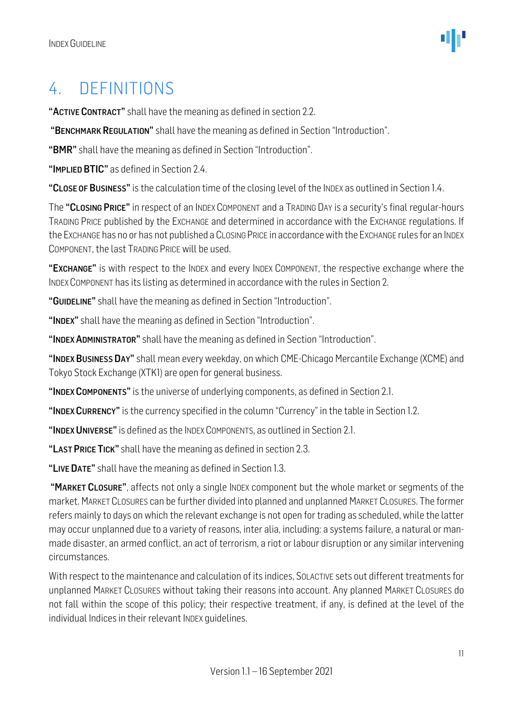### <span id="page-10-0"></span>4. DEFINITIONS

"ACTIVE CONTRACT" shall have the meaning as defined in section 2.2.

"BENCHMARK REGULATION" shall have the meaning as defined in Section "Introduction".

"BMR" shall have the meaning as defined in Section "Introduction".

"IMPLIED BTIC" as defined in Section 2.4.

"CLOSE OF BUSINESS" is the calculation time of the closing level of the INDEX as outlined in Section 1.4.

The "CLOSING PRICE" in respect of an INDEX COMPONENT and a TRADING DAY is a security's final regular-hours TRADING PRICE published by the EXCHANGE and determined in accordance with the EXCHANGE regulations. If the EXCHANGE has no or has not published a CLOSING PRICE in accordance with the EXCHANGE rules for an INDEX COMPONENT, the last TRADING PRICE will be used.

"EXCHANGE" is with respect to the INDEX and every INDEX COMPONENT, the respective exchange where the INDEX COMPONENT has its listing as determined in accordance with the rules in Section 2.

"GUIDELINE" shall have the meaning as defined in Section "Introduction".

"INDEX" shall have the meaning as defined in Section "Introduction".

"INDEX ADMINISTRATOR" shall have the meaning as defined in Section "Introduction".

"INDEX BUSINESS DAY" shall mean every weekday, on which CME-Chicago Mercantile Exchange (XCME) and Tokyo Stock Exchange (XTK1) are open for general business.

"INDEX COMPONENTS" is the universe of underlying components, as defined in Section 2.1.

"INDEX CURRENCY" is the currency specified in the column "Currency" in the table in Section 1.2.

"INDEX UNIVERSE" is defined as the INDEX COMPONENTS, as outlined in Section 2.1.

"LAST PRICE TICK" shall have the meaning as defined in section 2.3.

"LIVE DATE" shall have the meaning as defined in Section 1.3.

"MARKET CLOSURE", affects not only a single INDEX component but the whole market or segments of the market. MARKET CLOSURES can be further divided into planned and unplanned MARKET CLOSURES. The former refers mainly to days on which the relevant exchange is not open for trading as scheduled, while the latter may occur unplanned due to a variety of reasons, inter alia, including: a systems failure, a natural or manmade disaster, an armed conflict, an act of terrorism, a riot or labour disruption or any similar intervening circumstances.

With respect to the maintenance and calculation of its indices, SOLACTIVE sets out different treatments for unplanned MARKET CLOSURES without taking their reasons into account. Any planned MARKET CLOSURES do not fall within the scope of this policy; their respective treatment, if any, is defined at the level of the individual Indices in their relevant INDEX guidelines.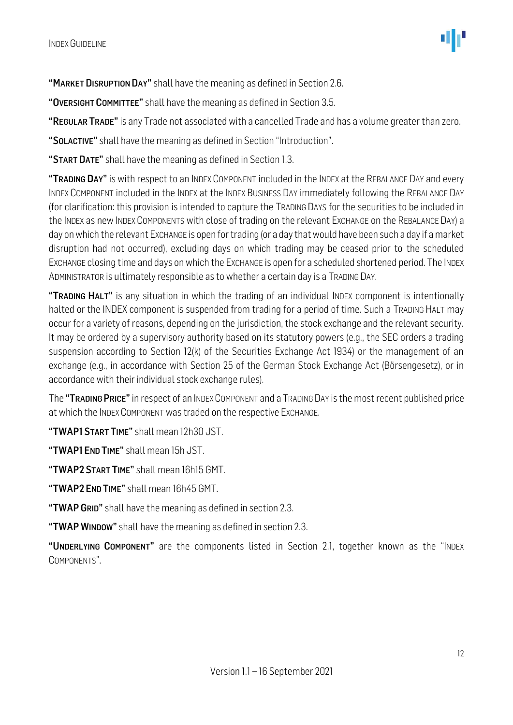"MARKET DISRUPTION DAY" shall have the meaning as defined in Section 2.6.

"OVERSIGHT COMMITTEE" shall have the meaning as defined in Section 3.5.

"REGULAR TRADE" is any Trade not associated with a cancelled Trade and has a volume greater than zero.

"SOLACTIVE" shall have the meaning as defined in Section "Introduction".

"START DATE" shall have the meaning as defined in Section 1.3.

"TRADING DAY" is with respect to an INDEX COMPONENT included in the INDEX at the REBALANCE DAY and every INDEX COMPONENT included in the INDEX at the INDEX BUSINESS DAY immediately following the REBALANCE DAY (for clarification: this provision is intended to capture the TRADING DAYS for the securities to be included in the INDEX as new INDEX COMPONENTS with close of trading on the relevant EXCHANGE on the REBALANCE DAY) a day on which the relevant EXCHANGE is open for trading (or a day that would have been such a day if a market disruption had not occurred), excluding days on which trading may be ceased prior to the scheduled EXCHANGE closing time and days on which the EXCHANGE is open for a scheduled shortened period. The INDEX ADMINISTRATOR is ultimately responsible as to whether a certain day is a TRADING DAY.

"TRADING HALT" is any situation in which the trading of an individual INDEX component is intentionally halted or the INDEX component is suspended from trading for a period of time. Such a TRADING HALT may occur for a variety of reasons, depending on the jurisdiction, the stock exchange and the relevant security. It may be ordered by a supervisory authority based on its statutory powers (e.g., the SEC orders a trading suspension according to Section 12(k) of the Securities Exchange Act 1934) or the management of an exchange (e.g., in accordance with Section 25 of the German Stock Exchange Act (Börsengesetz), or in accordance with their individual stock exchange rules).

The "TRADING PRICE" in respect of an INDEX COMPONENT and a TRADING DAY is the most recent published price at which the INDEX COMPONENT was traded on the respective EXCHANGE.

"TWAP1START TIME" shall mean 12h30 JST.

"TWAP1 END TIME" shall mean 15h JST.

"TWAP2START TIME" shall mean 16h15 GMT.

"TWAP2 END TIME" shall mean 16h45 GMT.

"TWAP GRID" shall have the meaning as defined in section 2.3.

"TWAP WINDOW" shall have the meaning as defined in section 2.3.

"UNDERLYING COMPONENT" are the components listed in Section 2.1, together known as the "INDEX COMPONENTS".